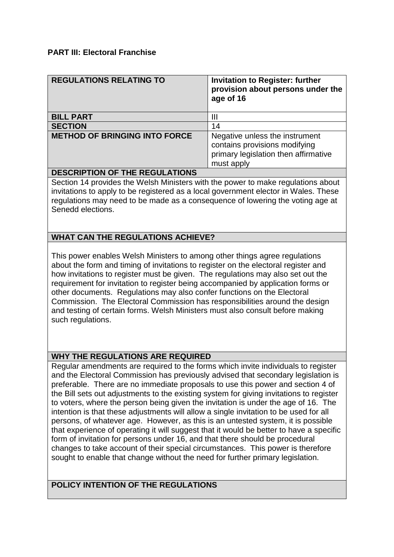#### **PART III: Electoral Franchise**

| <b>REGULATIONS RELATING TO</b>       | <b>Invitation to Register: further</b><br>provision about persons under the<br>age of 16                              |
|--------------------------------------|-----------------------------------------------------------------------------------------------------------------------|
| <b>BILL PART</b>                     | Ш                                                                                                                     |
| <b>SECTION</b>                       | 14                                                                                                                    |
| <b>METHOD OF BRINGING INTO FORCE</b> | Negative unless the instrument<br>contains provisions modifying<br>primary legislation then affirmative<br>must apply |
|                                      |                                                                                                                       |

## **DESCRIPTION OF THE REGULATIONS**

Section 14 provides the Welsh Ministers with the power to make regulations about invitations to apply to be registered as a local government elector in Wales. These regulations may need to be made as a consequence of lowering the voting age at Senedd elections.

## **WHAT CAN THE REGULATIONS ACHIEVE?**

This power enables Welsh Ministers to among other things agree regulations about the form and timing of invitations to register on the electoral register and how invitations to register must be given. The regulations may also set out the requirement for invitation to register being accompanied by application forms or other documents. Regulations may also confer functions on the Electoral Commission. The Electoral Commission has responsibilities around the design and testing of certain forms. Welsh Ministers must also consult before making such regulations.

## **WHY THE REGULATIONS ARE REQUIRED**

Regular amendments are required to the forms which invite individuals to register and the Electoral Commission has previously advised that secondary legislation is preferable. There are no immediate proposals to use this power and section 4 of the Bill sets out adjustments to the existing system for giving invitations to register to voters, where the person being given the invitation is under the age of 16. The intention is that these adjustments will allow a single invitation to be used for all persons, of whatever age. However, as this is an untested system, it is possible that experience of operating it will suggest that it would be better to have a specific form of invitation for persons under 16, and that there should be procedural changes to take account of their special circumstances. This power is therefore sought to enable that change without the need for further primary legislation.

## **POLICY INTENTION OF THE REGULATIONS**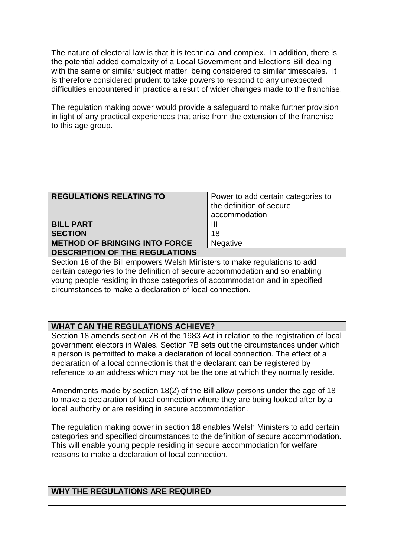The nature of electoral law is that it is technical and complex. In addition, there is the potential added complexity of a Local Government and Elections Bill dealing with the same or similar subject matter, being considered to similar timescales. It is therefore considered prudent to take powers to respond to any unexpected difficulties encountered in practice a result of wider changes made to the franchise.

The regulation making power would provide a safeguard to make further provision in light of any practical experiences that arise from the extension of the franchise to this age group.

| <b>REGULATIONS RELATING TO</b>        | Power to add certain categories to<br>the definition of secure |
|---------------------------------------|----------------------------------------------------------------|
|                                       | accommodation                                                  |
| <b>BILL PART</b>                      | Ш                                                              |
| <b>SECTION</b>                        | 18                                                             |
| <b>METHOD OF BRINGING INTO FORCE</b>  | <b>Negative</b>                                                |
| <b>DESCRIPTION OF THE REGULATIONS</b> |                                                                |

Section 18 of the Bill empowers Welsh Ministers to make regulations to add certain categories to the definition of secure accommodation and so enabling young people residing in those categories of accommodation and in specified circumstances to make a declaration of local connection.

## **WHAT CAN THE REGULATIONS ACHIEVE?**

Section 18 amends section 7B of the 1983 Act in relation to the registration of local government electors in Wales. Section 7B sets out the circumstances under which a person is permitted to make a declaration of local connection. The effect of a declaration of a local connection is that the declarant can be registered by reference to an address which may not be the one at which they normally reside.

Amendments made by section 18(2) of the Bill allow persons under the age of 18 to make a declaration of local connection where they are being looked after by a local authority or are residing in secure accommodation.

The regulation making power in section 18 enables Welsh Ministers to add certain categories and specified circumstances to the definition of secure accommodation. This will enable young people residing in secure accommodation for welfare reasons to make a declaration of local connection.

# **WHY THE REGULATIONS ARE REQUIRED**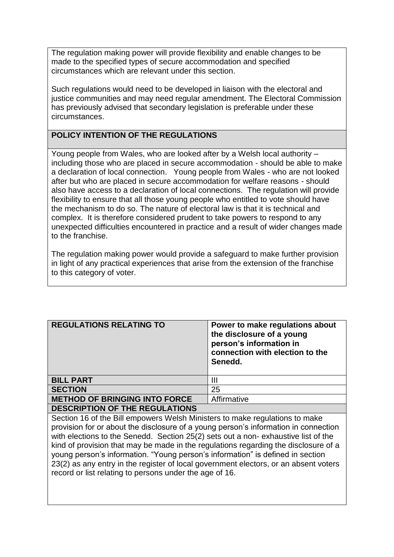The regulation making power will provide flexibility and enable changes to be made to the specified types of secure accommodation and specified circumstances which are relevant under this section.

Such regulations would need to be developed in liaison with the electoral and justice communities and may need regular amendment. The Electoral Commission has previously advised that secondary legislation is preferable under these circumstances.

## **POLICY INTENTION OF THE REGULATIONS**

Young people from Wales, who are looked after by a Welsh local authority – including those who are placed in secure accommodation - should be able to make a declaration of local connection. Young people from Wales - who are not looked after but who are placed in secure accommodation for welfare reasons - should also have access to a declaration of local connections. The regulation will provide flexibility to ensure that all those young people who entitled to vote should have the mechanism to do so. The nature of electoral law is that it is technical and complex. It is therefore considered prudent to take powers to respond to any unexpected difficulties encountered in practice and a result of wider changes made to the franchise.

The regulation making power would provide a safeguard to make further provision in light of any practical experiences that arise from the extension of the franchise to this category of voter.

| <b>REGULATIONS RELATING TO</b>        | Power to make regulations about<br>the disclosure of a young<br>person's information in<br>connection with election to the<br>Senedd. |
|---------------------------------------|---------------------------------------------------------------------------------------------------------------------------------------|
| <b>BILL PART</b>                      | Ш                                                                                                                                     |
| <b>SECTION</b>                        | 25                                                                                                                                    |
| <b>METHOD OF BRINGING INTO FORCE</b>  | Affirmative                                                                                                                           |
| <b>DESCRIPTION OF THE REGULATIONS</b> |                                                                                                                                       |

Section 16 of the Bill empowers Welsh Ministers to make regulations to make provision for or about the disclosure of a young person's information in connection with elections to the Senedd. Section 25(2) sets out a non- exhaustive list of the kind of provision that may be made in the regulations regarding the disclosure of a young person's information. "Young person's information" is defined in section 23(2) as any entry in the register of local government electors, or an absent voters record or list relating to persons under the age of 16.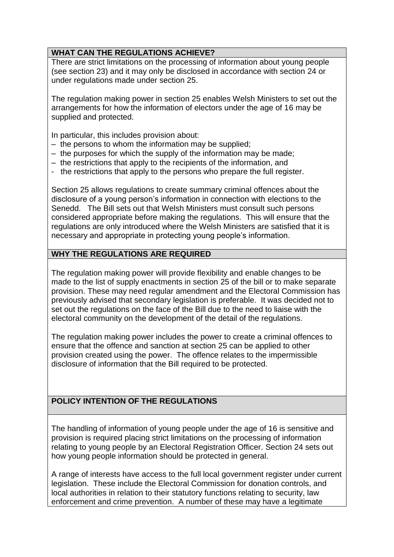## **WHAT CAN THE REGULATIONS ACHIEVE?**

There are strict limitations on the processing of information about young people (see section 23) and it may only be disclosed in accordance with section 24 or under regulations made under section 25.

The regulation making power in section 25 enables Welsh Ministers to set out the arrangements for how the information of electors under the age of 16 may be supplied and protected.

In particular, this includes provision about:

- the persons to whom the information may be supplied;
- the purposes for which the supply of the information may be made;
- the restrictions that apply to the recipients of the information, and
- the restrictions that apply to the persons who prepare the full register.

Section 25 allows regulations to create summary criminal offences about the disclosure of a young person's information in connection with elections to the Senedd. The Bill sets out that Welsh Ministers must consult such persons considered appropriate before making the regulations. This will ensure that the regulations are only introduced where the Welsh Ministers are satisfied that it is necessary and appropriate in protecting young people's information.

## **WHY THE REGULATIONS ARE REQUIRED**

The regulation making power will provide flexibility and enable changes to be made to the list of supply enactments in section 25 of the bill or to make separate provision. These may need regular amendment and the Electoral Commission has previously advised that secondary legislation is preferable. It was decided not to set out the regulations on the face of the Bill due to the need to liaise with the electoral community on the development of the detail of the regulations.

The regulation making power includes the power to create a criminal offences to ensure that the offence and sanction at section 25 can be applied to other provision created using the power. The offence relates to the impermissible disclosure of information that the Bill required to be protected.

# **POLICY INTENTION OF THE REGULATIONS**

The handling of information of young people under the age of 16 is sensitive and provision is required placing strict limitations on the processing of information relating to young people by an Electoral Registration Officer. Section 24 sets out how young people information should be protected in general.

A range of interests have access to the full local government register under current legislation. These include the Electoral Commission for donation controls, and local authorities in relation to their statutory functions relating to security, law enforcement and crime prevention. A number of these may have a legitimate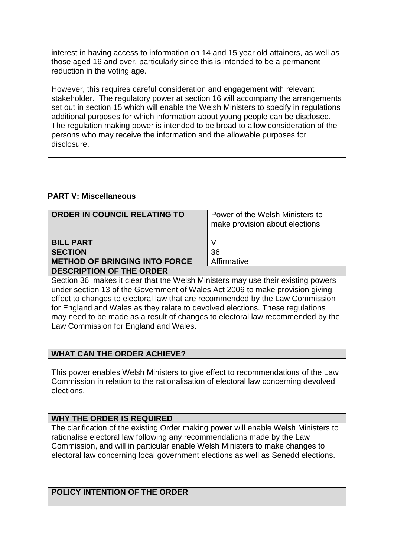interest in having access to information on 14 and 15 year old attainers, as well as those aged 16 and over, particularly since this is intended to be a permanent reduction in the voting age.

However, this requires careful consideration and engagement with relevant stakeholder. The regulatory power at section 16 will accompany the arrangements set out in section 15 which will enable the Welsh Ministers to specify in regulations additional purposes for which information about young people can be disclosed. The regulation making power is intended to be broad to allow consideration of the persons who may receive the information and the allowable purposes for disclosure.

#### **PART V: Miscellaneous**

| <b>ORDER IN COUNCIL RELATING TO</b>  | Power of the Welsh Ministers to<br>make provision about elections |
|--------------------------------------|-------------------------------------------------------------------|
| <b>BILL PART</b>                     |                                                                   |
| <b>SECTION</b>                       | 36                                                                |
| <b>METHOD OF BRINGING INTO FORCE</b> | Affirmative                                                       |
| <b>DESCRIPTION OF THE ORDER</b>      |                                                                   |

Section 36 makes it clear that the Welsh Ministers may use their existing powers under section 13 of the Government of Wales Act 2006 to make provision giving effect to changes to electoral law that are recommended by the Law Commission for England and Wales as they relate to devolved elections. These regulations may need to be made as a result of changes to electoral law recommended by the Law Commission for England and Wales.

## **WHAT CAN THE ORDER ACHIEVE?**

This power enables Welsh Ministers to give effect to recommendations of the Law Commission in relation to the rationalisation of electoral law concerning devolved elections.

#### **WHY THE ORDER IS REQUIRED**

The clarification of the existing Order making power will enable Welsh Ministers to rationalise electoral law following any recommendations made by the Law Commission, and will in particular enable Welsh Ministers to make changes to electoral law concerning local government elections as well as Senedd elections.

**POLICY INTENTION OF THE ORDER**